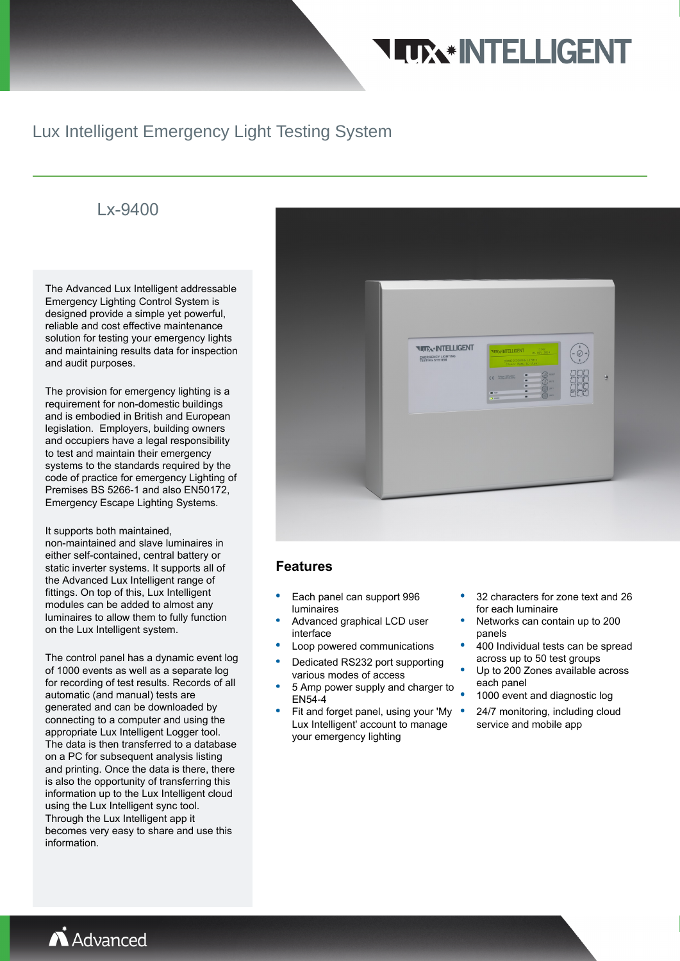## **TTX\*INTELLIGENT**

### Lux Intelligent Emergency Light Testing System

### Lx-9400

The Advanced Lux Intelligent addressable Emergency Lighting Control System is designed provide a simple yet powerful, reliable and cost effective maintenance solution for testing your emergency lights and maintaining results data for inspection and audit purposes.

The provision for emergency lighting is a requirement for non-domestic buildings and is embodied in British and European legislation. Employers, building owners and occupiers have a legal responsibility to test and maintain their emergency systems to the standards required by the code of practice for emergency Lighting of Premises BS 5266-1 and also EN50172, Emergency Escape Lighting Systems.

It supports both maintained, non-maintained and slave luminaires in either self-contained, central battery or static inverter systems. It supports all of the Advanced Lux Intelligent range of fittings. On top of this, Lux Intelligent modules can be added to almost any luminaires to allow them to fully function on the Lux Intelligent system.

The control panel has a dynamic event log of 1000 events as well as a separate log for recording of test results. Records of all automatic (and manual) tests are generated and can be downloaded by connecting to a computer and using the appropriate Lux Intelligent Logger tool. The data is then transferred to a database on a PC for subsequent analysis listing and printing. Once the data is there, there is also the opportunity of transferring this information up to the Lux Intelligent cloud using the Lux Intelligent sync tool. Through the Lux Intelligent app it becomes very easy to share and use this information.



#### **Features**

- Each panel can support 996 luminaires
- Advanced graphical LCD user interface
- Loop powered communications
- Dedicated RS232 port supporting various modes of access
- 5 Amp power supply and charger to EN54-4
- Fit and forget panel, using your 'My . Lux Intelligent' account to manage your emergency lighting
- 32 characters for zone text and 26 for each luminaire
- Networks can contain up to 200 panels
- 400 Individual tests can be spread across up to 50 test groups
- Up to 200 Zones available across each panel
- 1000 event and diagnostic log
- 24/7 monitoring, including cloud service and mobile app

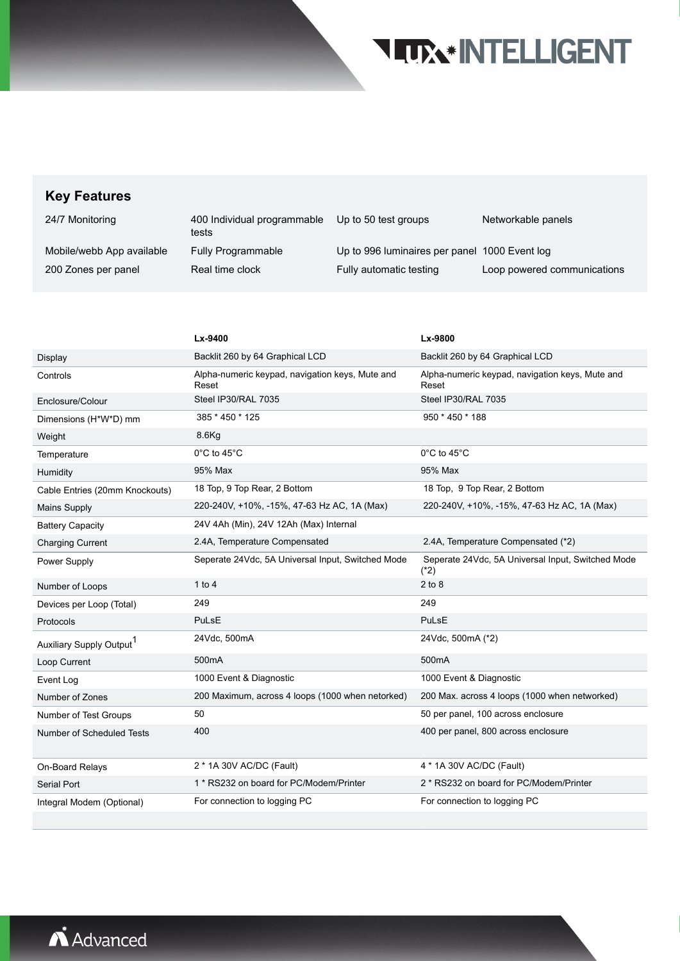## **TITTA\*INTELLIGENT**

### **Key Features**

| 24/7 Monitoring           | 400 Individual programmable<br>tests | Up to 50 test groups                          | Networkable panels          |
|---------------------------|--------------------------------------|-----------------------------------------------|-----------------------------|
| Mobile/webb App available | <b>Fully Programmable</b>            | Up to 996 luminaires per panel 1000 Event log |                             |
| 200 Zones per panel       | Real time clock                      | Fully automatic testing                       | Loop powered communications |

|                                      | Lx-9400                                                  | Lx-9800                                                     |
|--------------------------------------|----------------------------------------------------------|-------------------------------------------------------------|
| Display                              | Backlit 260 by 64 Graphical LCD                          | Backlit 260 by 64 Graphical LCD                             |
| Controls                             | Alpha-numeric keypad, navigation keys, Mute and<br>Reset | Alpha-numeric keypad, navigation keys, Mute and<br>Reset    |
| Enclosure/Colour                     | Steel IP30/RAL 7035                                      | Steel IP30/RAL 7035                                         |
| Dimensions (H*W*D) mm                | 385 * 450 * 125                                          | 950 * 450 * 188                                             |
| Weight                               | $8.6$ Kg                                                 |                                                             |
| Temperature                          | $0^{\circ}$ C to 45 $^{\circ}$ C                         | $0^{\circ}$ C to 45 $^{\circ}$ C                            |
| Humidity                             | 95% Max                                                  | 95% Max                                                     |
| Cable Entries (20mm Knockouts)       | 18 Top, 9 Top Rear, 2 Bottom                             | 18 Top, 9 Top Rear, 2 Bottom                                |
| <b>Mains Supply</b>                  | 220-240V, +10%, -15%, 47-63 Hz AC, 1A (Max)              | 220-240V, +10%, -15%, 47-63 Hz AC, 1A (Max)                 |
| <b>Battery Capacity</b>              | 24V 4Ah (Min), 24V 12Ah (Max) Internal                   |                                                             |
| <b>Charging Current</b>              | 2.4A, Temperature Compensated                            | 2.4A, Temperature Compensated (*2)                          |
| Power Supply                         | Seperate 24Vdc, 5A Universal Input, Switched Mode        | Seperate 24Vdc, 5A Universal Input, Switched Mode<br>$(*2)$ |
| Number of Loops                      | 1 to 4                                                   | $2$ to $8$                                                  |
| Devices per Loop (Total)             | 249                                                      | 249                                                         |
| Protocols                            | PuLsE                                                    | PuLsE                                                       |
| Auxiliary Supply Output <sup>1</sup> | 24Vdc, 500mA                                             | 24Vdc, 500mA (*2)                                           |
| Loop Current                         | 500 <sub>m</sub> A                                       | 500 <sub>m</sub> A                                          |
| Event Log                            | 1000 Event & Diagnostic                                  | 1000 Event & Diagnostic                                     |
| Number of Zones                      | 200 Maximum, across 4 loops (1000 when netorked)         | 200 Max. across 4 loops (1000 when networked)               |
| Number of Test Groups                | 50                                                       | 50 per panel, 100 across enclosure                          |
| Number of Scheduled Tests            | 400                                                      | 400 per panel, 800 across enclosure                         |
| On-Board Relays                      | 2 * 1A 30V AC/DC (Fault)                                 | 4 * 1A 30V AC/DC (Fault)                                    |
| <b>Serial Port</b>                   | 1 * RS232 on board for PC/Modem/Printer                  | 2 * RS232 on board for PC/Modem/Printer                     |
| Integral Modem (Optional)            | For connection to logging PC                             | For connection to logging PC                                |
|                                      |                                                          |                                                             |

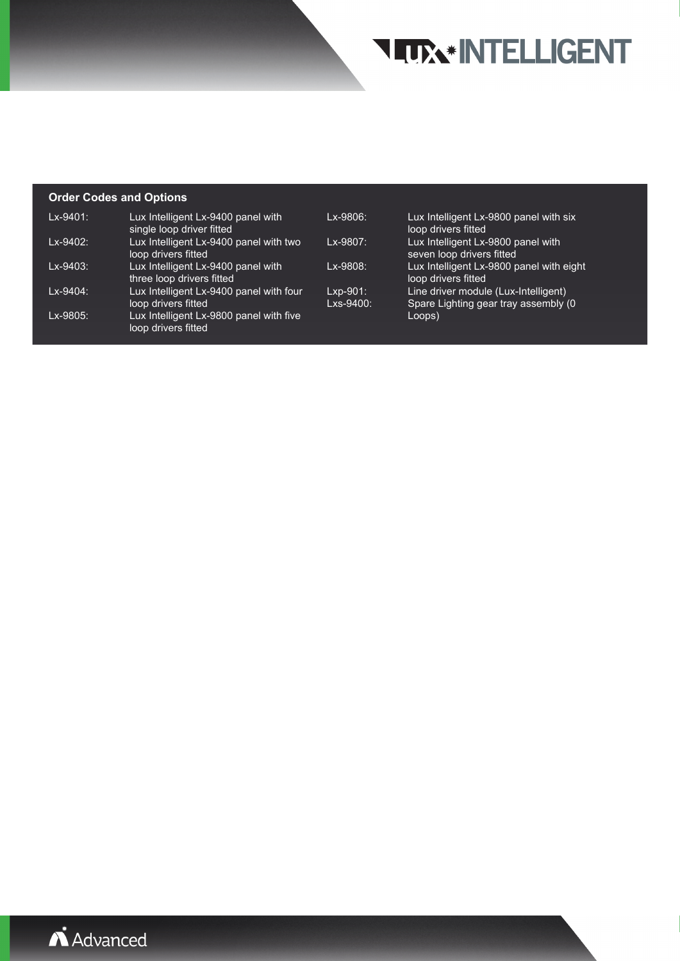## **TITTA\*INTELLIGENT**

#### **Order Codes and Options**

| $Lx-9401$ :   | Lux Intelligent Lx-9400 panel with<br>single loop driver fitted | Lx-9806:                 | Lux Intelligent Lx-9800 panel with six<br>loop drivers fitted                 |
|---------------|-----------------------------------------------------------------|--------------------------|-------------------------------------------------------------------------------|
| Lx-9402:      | Lux Intelligent Lx-9400 panel with two<br>loop drivers fitted   | Lx-9807:                 | Lux Intelligent Lx-9800 panel with<br>seven loop drivers fitted               |
| Lx-9403:      | Lux Intelligent Lx-9400 panel with<br>three loop drivers fitted | $Lx-9808$                | Lux Intelligent Lx-9800 panel with eight<br>loop drivers fitted               |
| $Lx - 9404$ : | Lux Intelligent Lx-9400 panel with four<br>loop drivers fitted  | $Lxp-901$ :<br>Lxs-9400: | Line driver module (Lux-Intelligent)<br>Spare Lighting gear tray assembly (0) |
| Lx-9805:      | Lux Intelligent Lx-9800 panel with five<br>loop drivers fitted  |                          | Loops)                                                                        |

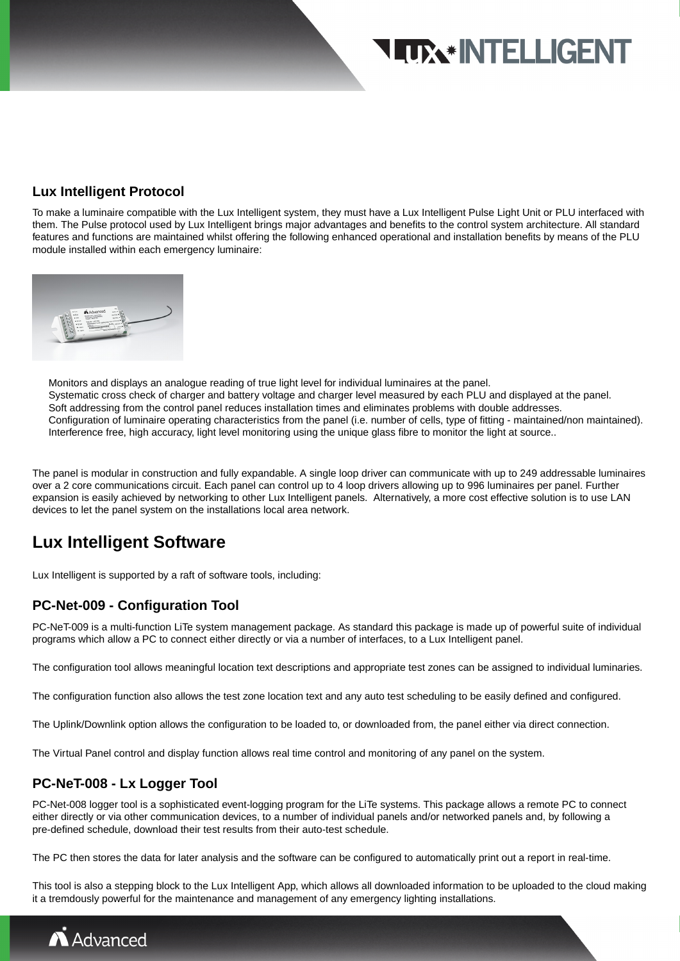## **LUX\* INTELLIGENT**

#### **Lux Intelligent Protocol**

To make a luminaire compatible with the Lux Intelligent system, they must have a Lux Intelligent Pulse Light Unit or PLU interfaced with them. The Pulse protocol used by Lux Intelligent brings major advantages and benefits to the control system architecture. All standard features and functions are maintained whilst offering the following enhanced operational and installation benefits by means of the PLU module installed within each emergency luminaire:



Monitors and displays an analogue reading of true light level for individual luminaires at the panel. Systematic cross check of charger and battery voltage and charger level measured by each PLU and displayed at the panel. Soft addressing from the control panel reduces installation times and eliminates problems with double addresses. Configuration of luminaire operating characteristics from the panel (i.e. number of cells, type of fitting - maintained/non maintained). Interference free, high accuracy, light level monitoring using the unique glass fibre to monitor the light at source..

The panel is modular in construction and fully expandable. A single loop driver can communicate with up to 249 addressable luminaires over a 2 core communications circuit. Each panel can control up to 4 loop drivers allowing up to 996 luminaires per panel. Further expansion is easily achieved by networking to other Lux Intelligent panels. Alternatively, a more cost effective solution is to use LAN devices to let the panel system on the installations local area network.

### **Lux Intelligent Software**

Lux Intelligent is supported by a raft of software tools, including:

#### **PC-Net-009 - Configuration Tool**

PC-NeT-009 is a multi-function LiTe system management package. As standard this package is made up of powerful suite of individual programs which allow a PC to connect either directly or via a number of interfaces, to a Lux Intelligent panel.

The configuration tool allows meaningful location text descriptions and appropriate test zones can be assigned to individual luminaries.

The configuration function also allows the test zone location text and any auto test scheduling to be easily defined and configured.

The Uplink/Downlink option allows the configuration to be loaded to, or downloaded from, the panel either via direct connection.

The Virtual Panel control and display function allows real time control and monitoring of any panel on the system.

#### **PC-NeT-008 - Lx Logger Tool**

PC-Net-008 logger tool is a sophisticated event-logging program for the LiTe systems. This package allows a remote PC to connect either directly or via other communication devices, to a number of individual panels and/or networked panels and, by following a pre-defined schedule, download their test results from their auto-test schedule.

The PC then stores the data for later analysis and the software can be configured to automatically print out a report in real-time.

This tool is also a stepping block to the Lux Intelligent App, which allows all downloaded information to be uploaded to the cloud making it a tremdously powerful for the maintenance and management of any emergency lighting installations.